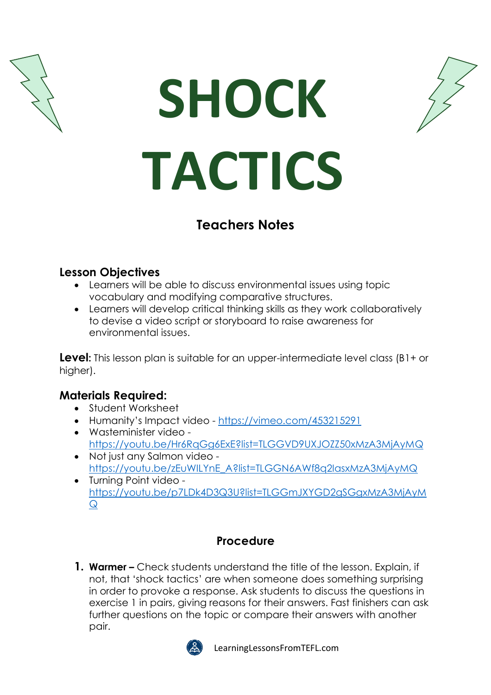





# **Teachers Notes**

### **Lesson Objectives**

- Learners will be able to discuss environmental issues using topic vocabulary and modifying comparative structures.
- Learners will develop critical thinking skills as they work collaboratively to devise a video script or storyboard to raise awareness for environmental issues.

**Level:** This lesson plan is suitable for an upper-intermediate level class (B1+ or higher).

### **Materials Required:**

- Student Worksheet
- Humanity's Impact video <https://vimeo.com/453215291>
- Wasteminister video <https://youtu.be/Hr6RqGg6ExE?list=TLGGVD9UXJOZZ50xMzA3MjAyMQ>
- Not just any Salmon video [https://youtu.be/zEuWILYnE\\_A?list=TLGGN6AWf8q2IasxMzA3MjAyMQ](https://youtu.be/zEuWILYnE_A?list=TLGGN6AWf8q2IasxMzA3MjAyMQ)
- Turning Point video [https://youtu.be/p7LDk4D3Q3U?list=TLGGmJXYGD2gSGgxMzA3MjAyM](https://youtu.be/p7LDk4D3Q3U?list=TLGGmJXYGD2gSGgxMzA3MjAyMQ)  $\Omega$

## **Procedure**

**1. Warmer –** Check students understand the title of the lesson. Explain, if not, that 'shock tactics' are when someone does something surprising in order to provoke a response. Ask students to discuss the questions in exercise 1 in pairs, giving reasons for their answers. Fast finishers can ask further questions on the topic or compare their answers with another pair.



LearningLessonsFromTEFL.com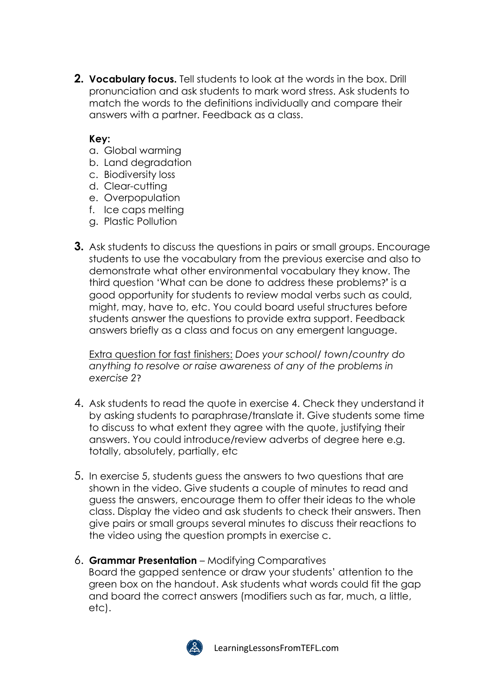**2. Vocabulary focus.** Tell students to look at the words in the box. Drill pronunciation and ask students to mark word stress. Ask students to match the words to the definitions individually and compare their answers with a partner. Feedback as a class.

#### **Key:**

- a. Global warming
- b. Land degradation
- c. Biodiversity loss
- d. Clear-cutting
- e. Overpopulation
- f. Ice caps melting
- g. Plastic Pollution
- **3.** Ask students to discuss the questions in pairs or small groups. Encourage students to use the vocabulary from the previous exercise and also to demonstrate what other environmental vocabulary they know. The third question 'What can be done to address these problems?**'** is a good opportunity for students to review modal verbs such as could, might, may, have to, etc. You could board useful structures before students answer the questions to provide extra support. Feedback answers briefly as a class and focus on any emergent language.

Extra question for fast finishers: *Does your school/ town/country do anything to resolve or raise awareness of any of the problems in exercise 2*?

- 4. Ask students to read the quote in exercise 4. Check they understand it by asking students to paraphrase/translate it. Give students some time to discuss to what extent they agree with the quote, justifying their answers. You could introduce/review adverbs of degree here e.g. totally, absolutely, partially, etc
- 5. In exercise 5, students guess the answers to two questions that are shown in the video. Give students a couple of minutes to read and guess the answers, encourage them to offer their ideas to the whole class. Display the video and ask students to check their answers. Then give pairs or small groups several minutes to discuss their reactions to the video using the question prompts in exercise c.
- 6. **Grammar Presentation** Modifying Comparatives Board the gapped sentence or draw your students' attention to the green box on the handout. Ask students what words could fit the gap and board the correct answers (modifiers such as far, much, a little, etc).

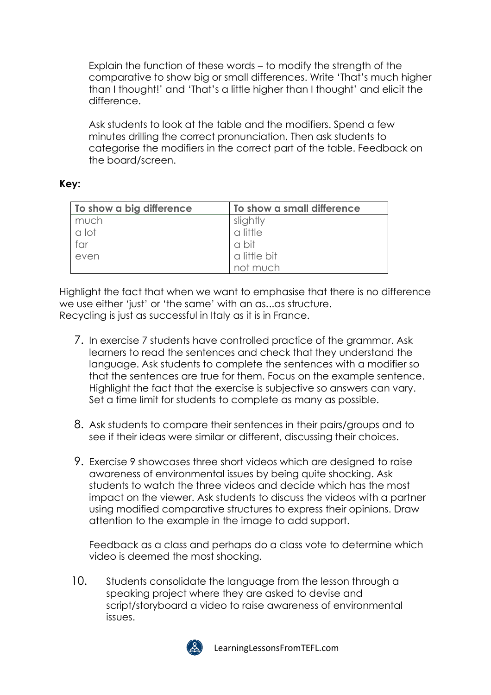Explain the function of these words – to modify the strength of the comparative to show big or small differences. Write 'That's much higher than I thought!' and 'That's a little higher than I thought' and elicit the difference.

Ask students to look at the table and the modifiers. Spend a few minutes drilling the correct pronunciation. Then ask students to categorise the modifiers in the correct part of the table. Feedback on the board/screen.

#### **Key:**

| To show a big difference | To show a small difference |
|--------------------------|----------------------------|
| much                     | slightly                   |
| a lot                    | a little                   |
| far                      | a bit                      |
| even                     | a little bit               |
|                          | not much                   |

Highlight the fact that when we want to emphasise that there is no difference we use either 'just' or 'the same' with an as...as structure. Recycling is just as successful in Italy as it is in France.

- 7. In exercise 7 students have controlled practice of the grammar. Ask learners to read the sentences and check that they understand the language. Ask students to complete the sentences with a modifier so that the sentences are true for them. Focus on the example sentence. Highlight the fact that the exercise is subjective so answers can vary. Set a time limit for students to complete as many as possible.
- 8. Ask students to compare their sentences in their pairs/groups and to see if their ideas were similar or different, discussing their choices.
- 9. Exercise 9 showcases three short videos which are designed to raise awareness of environmental issues by being quite shocking. Ask students to watch the three videos and decide which has the most impact on the viewer. Ask students to discuss the videos with a partner using modified comparative structures to express their opinions. Draw attention to the example in the image to add support.

Feedback as a class and perhaps do a class vote to determine which video is deemed the most shocking.

10. Students consolidate the language from the lesson through a speaking project where they are asked to devise and script/storyboard a video to raise awareness of environmental issues.



LearningLessonsFromTEFL.com